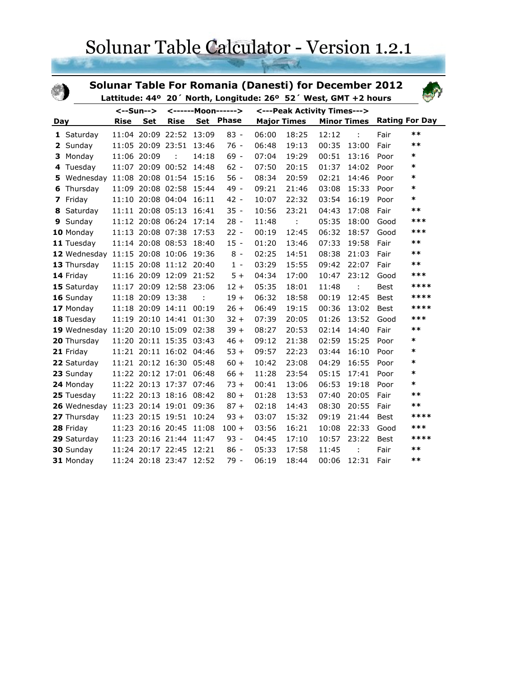## Solunar Table Calculator - Version 1.2.1

|     |                                      |             |                   |                         |                    |           |       | <b>Solunar Table For Romania (Danesti) for December 2012</b><br>Lattitude: 44° 20' North, Longitude: 26° 52' West, GMT +2 hours |       |                    |             |                       |
|-----|--------------------------------------|-------------|-------------------|-------------------------|--------------------|-----------|-------|---------------------------------------------------------------------------------------------------------------------------------|-------|--------------------|-------------|-----------------------|
|     |                                      |             | <--Sun-->         |                         | <------Moon------> |           |       | <---Peak Activity Times--->                                                                                                     |       |                    |             |                       |
| Day |                                      | <b>Rise</b> | <b>Set</b>        | <b>Rise</b>             |                    | Set Phase |       | <b>Major Times</b>                                                                                                              |       | <b>Minor Times</b> |             | <b>Rating For Day</b> |
|     | 1 Saturday                           |             |                   | 11:04 20:09 22:52 13:09 |                    | $83 -$    | 06:00 | 18:25                                                                                                                           | 12:12 | ÷                  | Fair        | $***$                 |
|     | 2 Sunday                             |             |                   | 11:05 20:09 23:51 13:46 |                    | $76 -$    | 06:48 | 19:13                                                                                                                           | 00:35 | 13:00              | Fair        | $***$                 |
| 3.  | Monday                               |             | 11:06 20:09       |                         | 14:18              | $69 -$    | 07:04 | 19:29                                                                                                                           | 00:51 | 13:16              | Poor        | $\ast$                |
| 4   | Tuesday                              |             |                   | 11:07 20:09 00:52       | 14:48              | $62 -$    | 07:50 | 20:15                                                                                                                           | 01:37 | 14:02              | Poor        | *                     |
| 5.  | Wednesday                            |             |                   | 11:08 20:08 01:54 15:16 |                    | $56 -$    | 08:34 | 20:59                                                                                                                           | 02:21 | 14:46              | Poor        | $\ast$                |
| 6   | Thursday                             |             |                   | 11:09 20:08 02:58 15:44 |                    | 49 -      | 09:21 | 21:46                                                                                                                           | 03:08 | 15:33              | Poor        | $\ast$                |
|     | 7 Friday                             |             |                   | 11:10 20:08 04:04 16:11 |                    | $42 -$    | 10:07 | 22:32                                                                                                                           | 03:54 | 16:19              | Poor        | *                     |
| 8   | Saturday                             |             |                   | 11:11 20:08 05:13       | 16:41              | $35 -$    | 10:56 | 23:21                                                                                                                           | 04:43 | 17:08              | Fair        | $***$                 |
| 9   | Sunday                               |             |                   | 11:12 20:08 06:24 17:14 |                    | $28 -$    | 11:48 | ÷                                                                                                                               | 05:35 | 18:00              | Good        | ***                   |
|     | 10 Monday                            |             |                   | 11:13 20:08 07:38 17:53 |                    | $22 -$    | 00:19 | 12:45                                                                                                                           | 06:32 | 18:57              | Good        | ***                   |
|     | 11 Tuesday                           |             |                   | 11:14 20:08 08:53 18:40 |                    | $15 -$    | 01:20 | 13:46                                                                                                                           | 07:33 | 19:58              | Fair        | $***$                 |
|     | 12 Wednesday 11:15 20:08 10:06 19:36 |             |                   |                         |                    | $8 -$     | 02:25 | 14:51                                                                                                                           | 08:38 | 21:03              | Fair        | $***$                 |
|     | 13 Thursday                          |             |                   | 11:15 20:08 11:12 20:40 |                    | $1 -$     | 03:29 | 15:55                                                                                                                           | 09:42 | 22:07              | Fair        | $***$                 |
|     | 14 Friday                            |             |                   | 11:16 20:09 12:09 21:52 |                    | $5+$      | 04:34 | 17:00                                                                                                                           | 10:47 | 23:12              | Good        | ***                   |
|     | 15 Saturday                          |             |                   | 11:17 20:09 12:58 23:06 |                    | $12 +$    | 05:35 | 18:01                                                                                                                           | 11:48 | ÷                  | <b>Best</b> | ****                  |
|     | 16 Sunday                            |             | 11:18 20:09 13:38 |                         |                    | $19 +$    | 06:32 | 18:58                                                                                                                           | 00:19 | 12:45              | Best        | ****                  |
|     | 17 Monday                            |             |                   | 11:18 20:09 14:11       | 00:19              | $26 +$    | 06:49 | 19:15                                                                                                                           | 00:36 | 13:02              | <b>Best</b> | ****                  |
|     | 18 Tuesday                           |             |                   | 11:19 20:10 14:41 01:30 |                    | $32 +$    | 07:39 | 20:05                                                                                                                           | 01:26 | 13:52              | Good        | ***                   |
|     | 19 Wednesday 11:20 20:10 15:09 02:38 |             |                   |                         |                    | $39 +$    | 08:27 | 20:53                                                                                                                           | 02:14 | 14:40              | Fair        | $***$                 |
|     | 20 Thursday                          |             |                   | 11:20 20:11 15:35 03:43 |                    | $46 +$    | 09:12 | 21:38                                                                                                                           | 02:59 | 15:25              | Poor        | $\ast$                |
|     | 21 Friday                            |             |                   | 11:21 20:11 16:02 04:46 |                    | $53 +$    | 09:57 | 22:23                                                                                                                           | 03:44 | 16:10              | Poor        | $\ast$                |
|     | 22 Saturday                          |             |                   | 11:21 20:12 16:30 05:48 |                    | $60 +$    | 10:42 | 23:08                                                                                                                           | 04:29 | 16:55              | Poor        | *                     |
|     | 23 Sunday                            |             |                   | 11:22 20:12 17:01       | 06:48              | $66 +$    | 11:28 | 23:54                                                                                                                           | 05:15 | 17:41              | Poor        | $\ast$                |
|     | 24 Monday                            |             |                   | 11:22 20:13 17:37 07:46 |                    | $73 +$    | 00:41 | 13:06                                                                                                                           | 06:53 | 19:18              | Poor        | $\ast$                |
|     | 25 Tuesday                           |             |                   | 11:22 20:13 18:16 08:42 |                    | $80 +$    | 01:28 | 13:53                                                                                                                           | 07:40 | 20:05              | Fair        | $***$                 |
|     | 26 Wednesday 11:23 20:14 19:01       |             |                   |                         | 09:36              | $87 +$    | 02:18 | 14:43                                                                                                                           | 08:30 | 20:55              | Fair        | $**$                  |
|     | 27 Thursday                          |             |                   | 11:23 20:15 19:51       | 10:24              | $93 +$    | 03:07 | 15:32                                                                                                                           | 09:19 | 21:44              | Best        | ****                  |
|     | 28 Friday                            |             |                   | 11:23 20:16 20:45 11:08 |                    | $100 +$   | 03:56 | 16:21                                                                                                                           | 10:08 | 22:33              | Good        | ***                   |
|     | 29 Saturday                          |             |                   | 11:23 20:16 21:44       | 11:47              | $93 -$    | 04:45 | 17:10                                                                                                                           | 10:57 | 23:22              | Best        | ****                  |
|     | 30 Sunday                            |             |                   | 11:24 20:17 22:45 12:21 |                    | $86 -$    | 05:33 | 17:58                                                                                                                           | 11:45 | t                  | Fair        | $***$                 |
|     | 31 Monday                            |             |                   | 11:24 20:18 23:47       | 12:52              | $79 -$    | 06:19 | 18:44                                                                                                                           | 00:06 | 12:31              | Fair        | $**$                  |